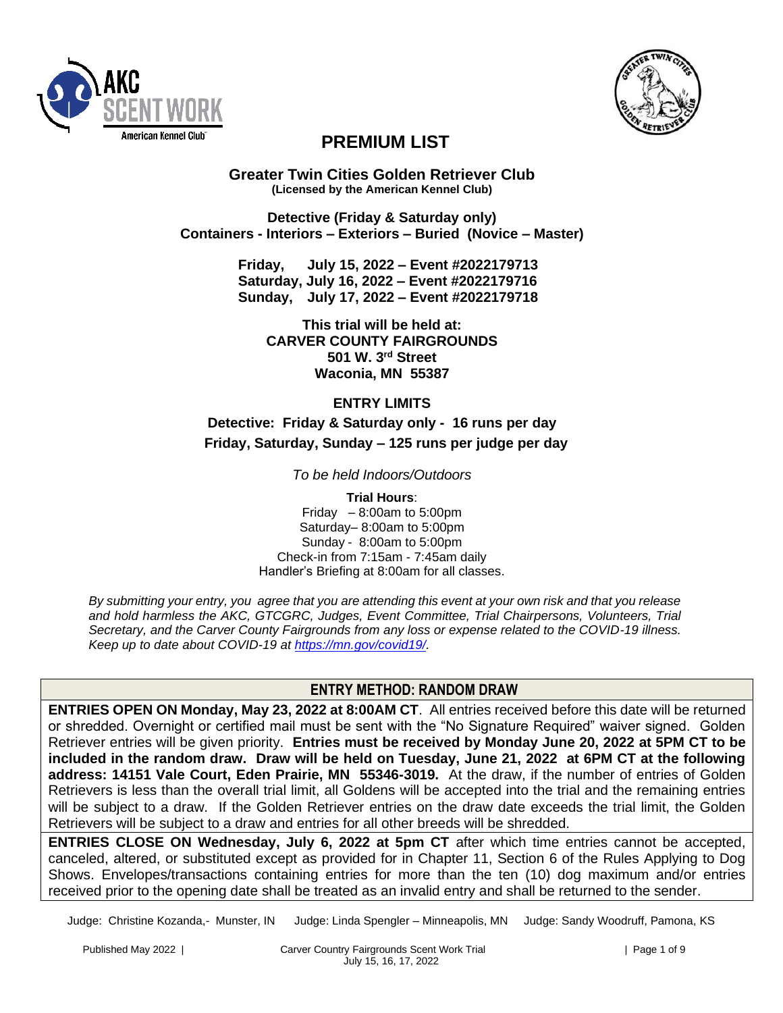



# **PREMIUM LIST**

**Greater Twin Cities Golden Retriever Club (Licensed by the American Kennel Club)**

**Detective (Friday & Saturday only) Containers - Interiors – Exteriors – Buried (Novice – Master)**

> **Friday, July 15, 2022 – Event #2022179713 Saturday, July 16, 2022 – Event #2022179716 Sunday, July 17, 2022 – Event #2022179718**

**This trial will be held at: CARVER COUNTY FAIRGROUNDS 501 W. 3rd Street Waconia, MN 55387**

## **ENTRY LIMITS**

**Detective: Friday & Saturday only - 16 runs per day Friday, Saturday, Sunday – 125 runs per judge per day**

*To be held Indoors/Outdoors*

**Trial Hours**: Friday  $-8:00$ am to 5:00pm Saturday– 8:00am to 5:00pm Sunday - 8:00am to 5:00pm Check-in from 7:15am - 7:45am daily Handler's Briefing at 8:00am for all classes.

*By submitting your entry, you agree that you are attending this event at your own risk and that you release and hold harmless the AKC, GTCGRC, Judges, Event Committee, Trial Chairpersons, Volunteers, Trial Secretary, and the Carver County Fairgrounds from any loss or expense related to the COVID-19 illness. Keep up to date about COVID-19 at [https://mn.gov/covid19/.](https://mn.gov/covid19/)*

## **ENTRY METHOD: RANDOM DRAW**

**ENTRIES OPEN ON Monday, May 23, 2022 at 8:00AM CT**. All entries received before this date will be returned or shredded. Overnight or certified mail must be sent with the "No Signature Required" waiver signed. Golden Retriever entries will be given priority. **Entries must be received by Monday June 20, 2022 at 5PM CT to be included in the random draw. Draw will be held on Tuesday, June 21, 2022 at 6PM CT at the following address: 14151 Vale Court, Eden Prairie, MN 55346-3019.** At the draw, if the number of entries of Golden Retrievers is less than the overall trial limit, all Goldens will be accepted into the trial and the remaining entries will be subject to a draw. If the Golden Retriever entries on the draw date exceeds the trial limit, the Golden Retrievers will be subject to a draw and entries for all other breeds will be shredded.

**ENTRIES CLOSE ON Wednesday, July 6, 2022 at 5pm CT** after which time entries cannot be accepted, canceled, altered, or substituted except as provided for in Chapter 11, Section 6 of the Rules Applying to Dog Shows. Envelopes/transactions containing entries for more than the ten (10) dog maximum and/or entries received prior to the opening date shall be treated as an invalid entry and shall be returned to the sender.

Judge: Christine Kozanda,- Munster, IN Judge: Linda Spengler – Minneapolis, MN Judge: Sandy Woodruff, Pamona, KS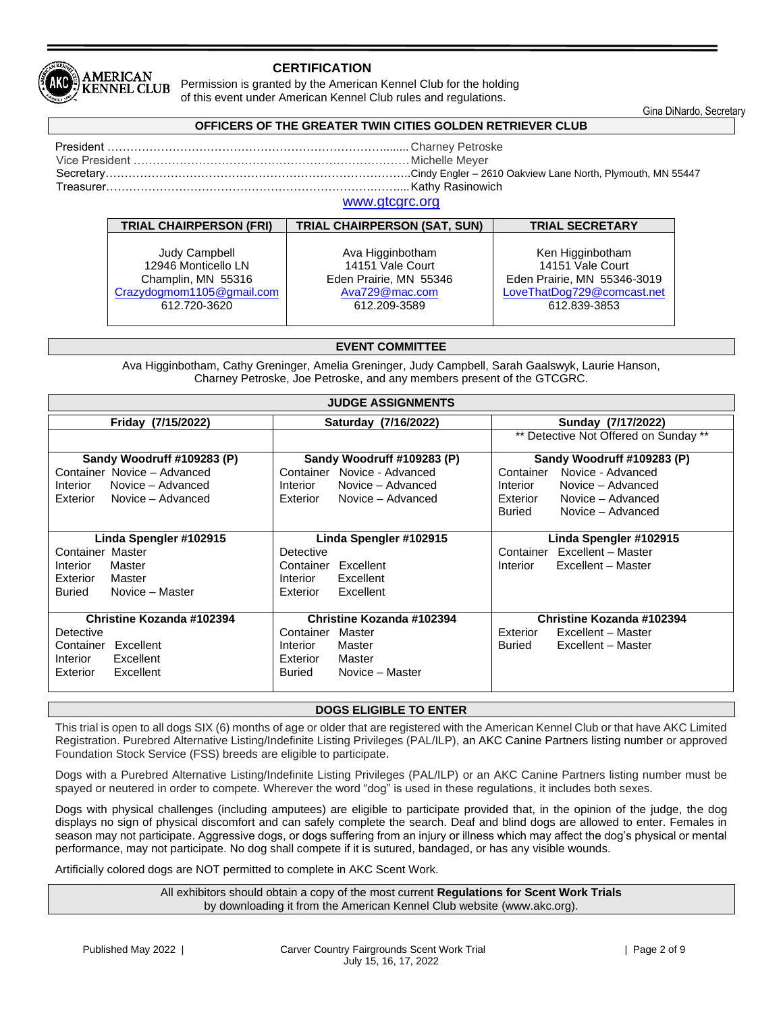

## **CERTIFICATION**

Permission is granted by the American Kennel Club for the holding of this event under American Kennel Club rules and regulations.

Gina DiNardo, Secretary

## **OFFICERS OF THE GREATER TWIN CITIES GOLDEN RETRIEVER CLUB**

| Treasurer……………………………………………………………………………………Kathv Rasinowich |
|-----------------------------------------------------------|
| <u>sanana adalah ana ana</u>                              |

## [www.gtcgrc.org](http://www.gtcgrc.org/)

| <b>TRIAL CHAIRPERSON (FRI)</b> | <b>TRIAL CHAIRPERSON (SAT, SUN)</b> | <b>TRIAL SECRETARY</b>      |
|--------------------------------|-------------------------------------|-----------------------------|
| Judy Campbell                  | Ava Higginbotham                    | Ken Higginbotham            |
| 12946 Monticello LN            | 14151 Vale Court                    | 14151 Vale Court            |
| Champlin, MN 55316             | Eden Prairie, MN 55346              | Eden Prairie, MN 55346-3019 |
| Crazydogmom1105@gmail.com      | Ava729@mac.com                      | LoveThatDog729@comcast.net  |
| 612.720-3620                   | 612.209-3589                        | 612.839-3853                |

#### **EVENT COMMITTEE**

Ava Higginbotham, Cathy Greninger, Amelia Greninger, Judy Campbell, Sarah Gaalswyk, Laurie Hanson, Charney Petroske, Joe Petroske, and any members present of the GTCGRC.

| <b>JUDGE ASSIGNMENTS</b>      |                                                          |                                       |  |  |  |
|-------------------------------|----------------------------------------------------------|---------------------------------------|--|--|--|
| Friday (7/15/2022)            | Saturday (7/16/2022)                                     | Sunday (7/17/2022)                    |  |  |  |
|                               |                                                          | ** Detective Not Offered on Sunday ** |  |  |  |
| Sandy Woodruff #109283 (P)    | Sandy Woodruff #109283 (P)<br>Sandy Woodruff #109283 (P) |                                       |  |  |  |
| Container Novice - Advanced   | Novice - Advanced<br>Container                           | Novice - Advanced<br>Container        |  |  |  |
| Novice - Advanced<br>Interior | Novice - Advanced<br>Interior                            | Novice - Advanced<br>Interior         |  |  |  |
| Exterior Novice - Advanced    | Novice - Advanced<br>Exterior                            | Exterior<br>Novice - Advanced         |  |  |  |
|                               |                                                          | Novice - Advanced<br>Buried           |  |  |  |
|                               |                                                          |                                       |  |  |  |
| Linda Spengler #102915        | Linda Spengler #102915                                   | Linda Spengler #102915                |  |  |  |
| Container Master              | Detective                                                | Excellent - Master<br>Container       |  |  |  |
| Master<br>Interior            | Container<br>Excellent                                   | Excellent - Master<br>Interior        |  |  |  |
| Exterior<br>Master            | Excellent<br>Interior                                    |                                       |  |  |  |
| Novice - Master<br>Buried     | Excellent<br>Exterior                                    |                                       |  |  |  |
|                               |                                                          |                                       |  |  |  |
| Christine Kozanda #102394     | <b>Christine Kozanda #102394</b>                         | Christine Kozanda #102394             |  |  |  |
| Detective                     | Master<br>Container                                      | Exterior<br>Excellent - Master        |  |  |  |
| Container Excellent           | Master<br>Interior                                       | Excellent - Master<br>Buried          |  |  |  |
| Excellent<br>Interior         | Exterior<br>Master                                       |                                       |  |  |  |
| Excellent<br>Exterior         | Novice - Master<br>Buried                                |                                       |  |  |  |
|                               |                                                          |                                       |  |  |  |

## **DOGS ELIGIBLE TO ENTER**

This trial is open to all dogs SIX (6) months of age or older that are registered with the American Kennel Club or that have AKC Limited Registration. Purebred Alternative Listing/Indefinite Listing Privileges (PAL/ILP), an AKC Canine Partners listing number or approved Foundation Stock Service (FSS) breeds are eligible to participate.

Dogs with a Purebred Alternative Listing/Indefinite Listing Privileges (PAL/ILP) or an AKC Canine Partners listing number must be spayed or neutered in order to compete. Wherever the word "dog" is used in these regulations, it includes both sexes.

Dogs with physical challenges (including amputees) are eligible to participate provided that, in the opinion of the judge, the dog displays no sign of physical discomfort and can safely complete the search. Deaf and blind dogs are allowed to enter. Females in season may not participate. Aggressive dogs, or dogs suffering from an injury or illness which may affect the dog's physical or mental performance, may not participate. No dog shall compete if it is sutured, bandaged, or has any visible wounds.

Artificially colored dogs are NOT permitted to complete in AKC Scent Work.

All exhibitors should obtain a copy of the most current **Regulations for Scent Work Trials** by downloading it from the American Kennel Club website (www.akc.org).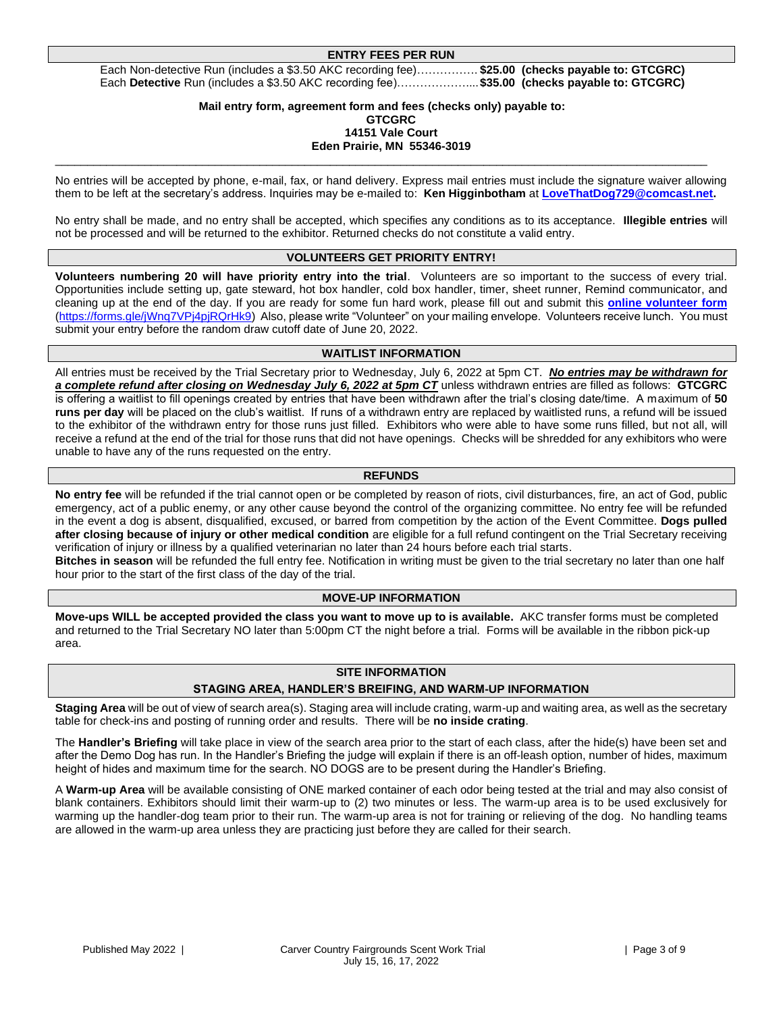#### **ENTRY FEES PER RUN**

Each Non-detective Run (includes a \$3.50 AKC recording fee)……………. **\$25.00 (checks payable to: GTCGRC)** Each **Detective** Run (includes a \$3.50 AKC recording fee)………………....**\$35.00 (checks payable to: GTCGRC)**

#### **Mail entry form, agreement form and fees (checks only) payable to: GTCGRC 14151 Vale Court Eden Prairie, MN 55346-3019**

\_\_\_\_\_\_\_\_\_\_\_\_\_\_\_\_\_\_\_\_\_\_\_\_\_\_\_\_\_\_\_\_\_\_\_\_\_\_\_\_\_\_\_\_\_\_\_\_\_\_\_\_\_\_\_\_\_\_\_\_\_\_\_\_\_\_\_\_\_\_\_\_\_\_\_\_\_\_\_\_\_\_\_\_\_\_\_\_\_\_\_\_\_\_\_\_\_\_\_\_\_\_

No entries will be accepted by phone, e-mail, fax, or hand delivery. Express mail entries must include the signature waiver allowing them to be left at the secretary's address. Inquiries may be e-mailed to: **Ken Higginbotham** at **[LoveThatDog729@comcast.net.](mailto:LoveThatDog729@comcast.net)** 

No entry shall be made, and no entry shall be accepted, which specifies any conditions as to its acceptance. **Illegible entries** will not be processed and will be returned to the exhibitor. Returned checks do not constitute a valid entry.

## **VOLUNTEERS GET PRIORITY ENTRY!**

**Volunteers numbering 20 will have priority entry into the trial**. Volunteers are so important to the success of every trial. Opportunities include setting up, gate steward, hot box handler, cold box handler, timer, sheet runner, Remind communicator, and cleaning up at the end of the day. If you are ready for some fun hard work, please fill out and submit this **[online volunteer form](https://forms.gle/EjVRKRXKfeYwLPpa8)** [\(https://forms.gle/jWnq7VPj4pjRQrHk9\)](https://forms.gle/jWnq7VPj4pjRQrHk9) Also, please write "Volunteer" on your mailing envelope. Volunteers receive lunch. You must submit your entry before the random draw cutoff date of June 20, 2022.

#### **WAITLIST INFORMATION**

All entries must be received by the Trial Secretary prior to Wednesday, July 6, 2022 at 5pm CT. *No entries may be withdrawn for a complete refund after closing on Wednesday July 6, 2022 at 5pm CT* unless withdrawn entries are filled as follows: **GTCGRC** is offering a waitlist to fill openings created by entries that have been withdrawn after the trial's closing date/time. A maximum of **50 runs per day** will be placed on the club's waitlist. If runs of a withdrawn entry are replaced by waitlisted runs, a refund will be issued to the exhibitor of the withdrawn entry for those runs just filled. Exhibitors who were able to have some runs filled, but not all, will receive a refund at the end of the trial for those runs that did not have openings. Checks will be shredded for any exhibitors who were unable to have any of the runs requested on the entry.

#### **REFUNDS**

**No entry fee** will be refunded if the trial cannot open or be completed by reason of riots, civil disturbances, fire, an act of God, public emergency, act of a public enemy, or any other cause beyond the control of the organizing committee. No entry fee will be refunded in the event a dog is absent, disqualified, excused, or barred from competition by the action of the Event Committee. **Dogs pulled after closing because of injury or other medical condition** are eligible for a full refund contingent on the Trial Secretary receiving verification of injury or illness by a qualified veterinarian no later than 24 hours before each trial starts.

**Bitches in season** will be refunded the full entry fee. Notification in writing must be given to the trial secretary no later than one half hour prior to the start of the first class of the day of the trial.

## **MOVE-UP INFORMATION**

**Move-ups WILL be accepted provided the class you want to move up to is available.** AKC transfer forms must be completed and returned to the Trial Secretary NO later than 5:00pm CT the night before a trial. Forms will be available in the ribbon pick-up area.

## **SITE INFORMATION**

## **STAGING AREA, HANDLER'S BREIFING, AND WARM-UP INFORMATION**

**Staging Area** will be out of view of search area(s). Staging area will include crating, warm-up and waiting area, as well as the secretary table for check-ins and posting of running order and results. There will be **no inside crating**.

The **Handler's Briefing** will take place in view of the search area prior to the start of each class, after the hide(s) have been set and after the Demo Dog has run. In the Handler's Briefing the judge will explain if there is an off-leash option, number of hides, maximum height of hides and maximum time for the search. NO DOGS are to be present during the Handler's Briefing.

A **Warm-up Area** will be available consisting of ONE marked container of each odor being tested at the trial and may also consist of blank containers. Exhibitors should limit their warm-up to (2) two minutes or less. The warm-up area is to be used exclusively for warming up the handler-dog team prior to their run. The warm-up area is not for training or relieving of the dog. No handling teams are allowed in the warm-up area unless they are practicing just before they are called for their search.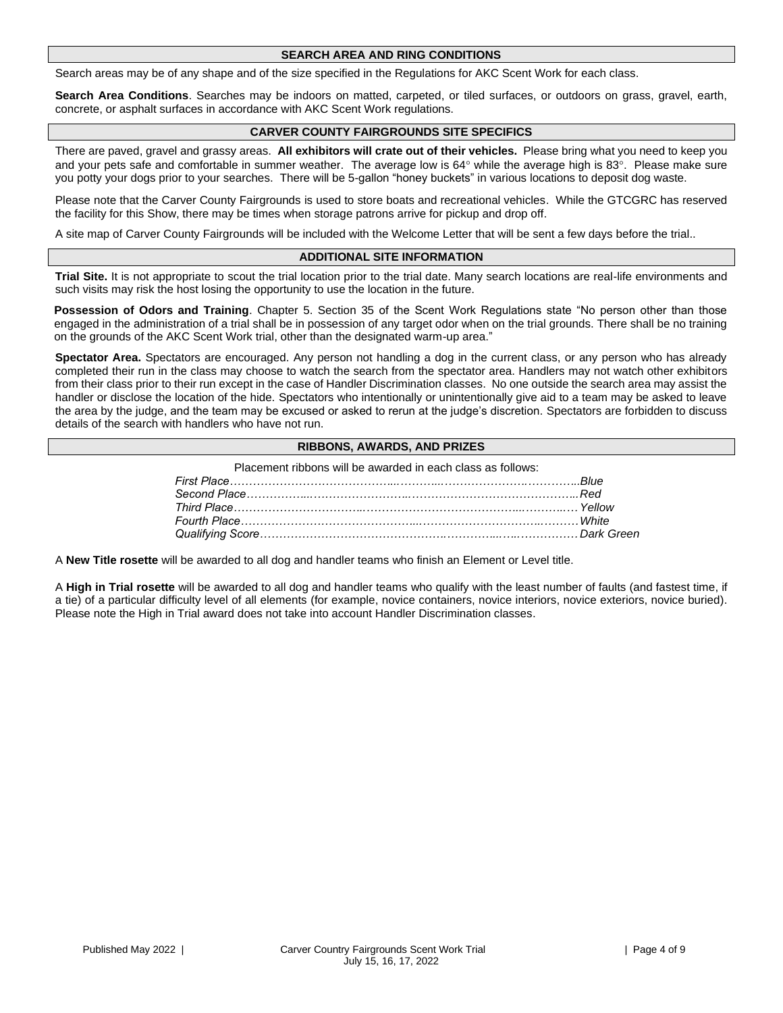#### **SEARCH AREA AND RING CONDITIONS**

Search areas may be of any shape and of the size specified in the Regulations for AKC Scent Work for each class.

**Search Area Conditions**. Searches may be indoors on matted, carpeted, or tiled surfaces, or outdoors on grass, gravel, earth, concrete, or asphalt surfaces in accordance with AKC Scent Work regulations.

### **CARVER COUNTY FAIRGROUNDS SITE SPECIFICS**

There are paved, gravel and grassy areas. **All exhibitors will crate out of their vehicles.** Please bring what you need to keep you and your pets safe and comfortable in summer weather. The average low is  $64^\circ$  while the average high is  $83^\circ$ . Please make sure you potty your dogs prior to your searches. There will be 5-gallon "honey buckets" in various locations to deposit dog waste.

Please note that the Carver County Fairgrounds is used to store boats and recreational vehicles. While the GTCGRC has reserved the facility for this Show, there may be times when storage patrons arrive for pickup and drop off.

A site map of Carver County Fairgrounds will be included with the Welcome Letter that will be sent a few days before the trial..

#### **ADDITIONAL SITE INFORMATION**

**Trial Site.** It is not appropriate to scout the trial location prior to the trial date. Many search locations are real-life environments and such visits may risk the host losing the opportunity to use the location in the future.

**Possession of Odors and Training**. Chapter 5. Section 35 of the Scent Work Regulations state "No person other than those engaged in the administration of a trial shall be in possession of any target odor when on the trial grounds. There shall be no training on the grounds of the AKC Scent Work trial, other than the designated warm-up area."

**Spectator Area.** Spectators are encouraged. Any person not handling a dog in the current class, or any person who has already completed their run in the class may choose to watch the search from the spectator area. Handlers may not watch other exhibitors from their class prior to their run except in the case of Handler Discrimination classes. No one outside the search area may assist the handler or disclose the location of the hide. Spectators who intentionally or unintentionally give aid to a team may be asked to leave the area by the judge, and the team may be excused or asked to rerun at the judge's discretion. Spectators are forbidden to discuss details of the search with handlers who have not run.

## **RIBBONS, AWARDS, AND PRIZES**

Placement ribbons will be awarded in each class as follows:

A **New Title rosette** will be awarded to all dog and handler teams who finish an Element or Level title.

A **High in Trial rosette** will be awarded to all dog and handler teams who qualify with the least number of faults (and fastest time, if a tie) of a particular difficulty level of all elements (for example, novice containers, novice interiors, novice exteriors, novice buried). Please note the High in Trial award does not take into account Handler Discrimination classes.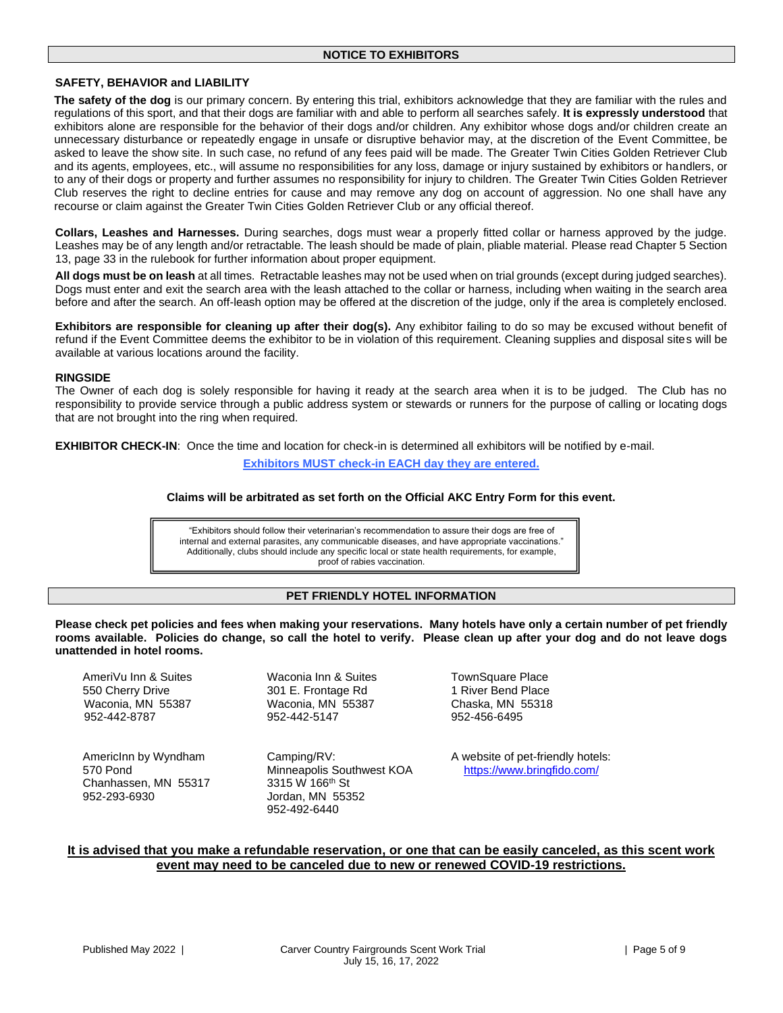## **SAFETY, BEHAVIOR and LIABILITY**

**The safety of the dog** is our primary concern. By entering this trial, exhibitors acknowledge that they are familiar with the rules and regulations of this sport, and that their dogs are familiar with and able to perform all searches safely. **It is expressly understood** that exhibitors alone are responsible for the behavior of their dogs and/or children. Any exhibitor whose dogs and/or children create an unnecessary disturbance or repeatedly engage in unsafe or disruptive behavior may, at the discretion of the Event Committee, be asked to leave the show site. In such case, no refund of any fees paid will be made. The Greater Twin Cities Golden Retriever Club and its agents, employees, etc., will assume no responsibilities for any loss, damage or injury sustained by exhibitors or handlers, or to any of their dogs or property and further assumes no responsibility for injury to children. The Greater Twin Cities Golden Retriever Club reserves the right to decline entries for cause and may remove any dog on account of aggression. No one shall have any recourse or claim against the Greater Twin Cities Golden Retriever Club or any official thereof.

**Collars, Leashes and Harnesses.** During searches, dogs must wear a properly fitted collar or harness approved by the judge. Leashes may be of any length and/or retractable. The leash should be made of plain, pliable material. Please read Chapter 5 Section 13, page 33 in the rulebook for further information about proper equipment.

**All dogs must be on leash** at all times. Retractable leashes may not be used when on trial grounds (except during judged searches). Dogs must enter and exit the search area with the leash attached to the collar or harness, including when waiting in the search area before and after the search. An off-leash option may be offered at the discretion of the judge, only if the area is completely enclosed.

**Exhibitors are responsible for cleaning up after their dog(s).** Any exhibitor failing to do so may be excused without benefit of refund if the Event Committee deems the exhibitor to be in violation of this requirement. Cleaning supplies and disposal sites will be available at various locations around the facility.

#### **RINGSIDE**

The Owner of each dog is solely responsible for having it ready at the search area when it is to be judged. The Club has no responsibility to provide service through a public address system or stewards or runners for the purpose of calling or locating dogs that are not brought into the ring when required.

**EXHIBITOR CHECK-IN**: Once the time and location for check-in is determined all exhibitors will be notified by e-mail. **Exhibitors MUST check-in EACH day they are entered.**

#### **Claims will be arbitrated as set forth on the Official AKC Entry Form for this event.**

"Exhibitors should follow their veterinarian's recommendation to assure their dogs are free of internal and external parasites, any communicable diseases, and have appropriate vaccinations." Additionally, clubs should include any specific local or state health requirements, for example, proof of rabies vaccination.

## **PET FRIENDLY HOTEL INFORMATION**

**Please check pet policies and fees when making your reservations. Many hotels have only a certain number of pet friendly rooms available. Policies do change, so call the hotel to verify. Please clean up after your dog and do not leave dogs unattended in hotel rooms.**

AmeriVu Inn & Suites **Maconia Inn & Suites** TownSquare Place<br>550 Cherry Drive **Maconia State State State State State** 1 River Bend Place 550 Cherry Drive 301 E. Frontage Rd 1 River Bend Place Waconia, MN 55387 Waconia, MN 55387 Chaska, MN 55318

Chanhassen, MN 55317 3315 W 166<sup>th</sup> St 952-293-6930 Jordan, MN 55352

952-442-5147

952-492-6440

AmericInn by Wyndham Camping/RV: A website of pet-friendly hotels: 570 Pond **Minneapolis Southwest KOA** <https://www.bringfido.com/>

## **It is advised that you make a refundable reservation, or one that can be easily canceled, as this scent work event may need to be canceled due to new or renewed COVID-19 restrictions.**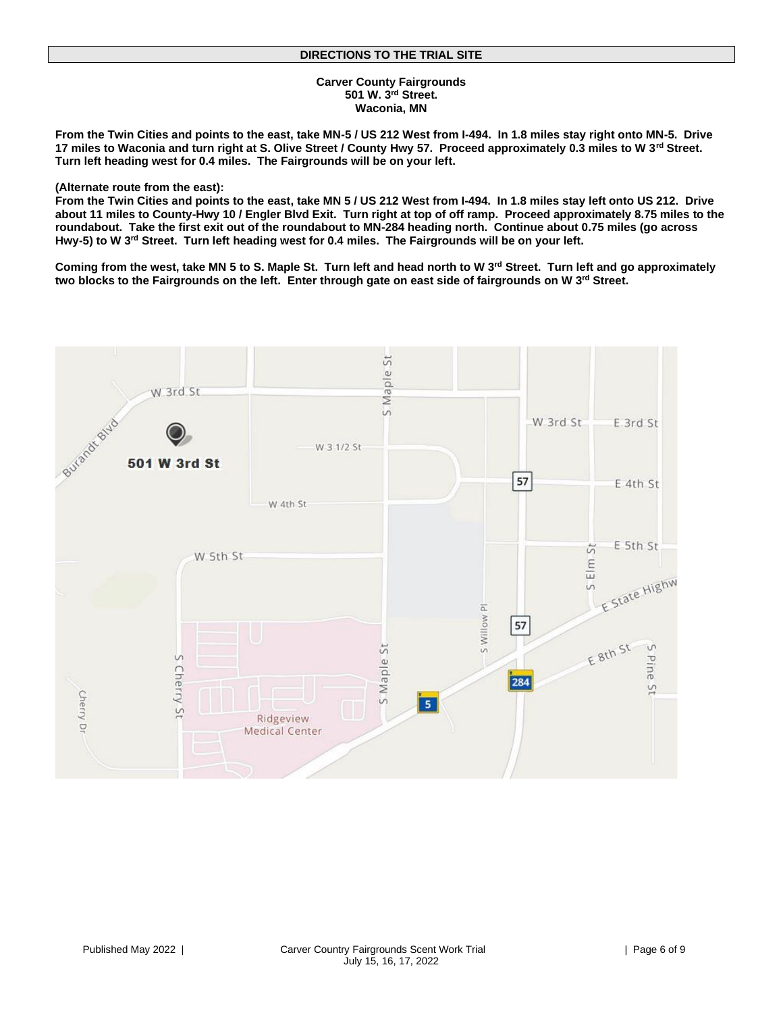#### **Carver County Fairgrounds 501 W. 3rd Street. Waconia, MN**

**From the Twin Cities and points to the east, take MN-5 / US 212 West from I-494. In 1.8 miles stay right onto MN-5. Drive 17 miles to Waconia and turn right at S. Olive Street / County Hwy 57. Proceed approximately 0.3 miles to W 3rd Street. Turn left heading west for 0.4 miles. The Fairgrounds will be on your left.**

#### **(Alternate route from the east):**

**From the Twin Cities and points to the east, take MN 5 / US 212 West from I-494. In 1.8 miles stay left onto US 212. Drive about 11 miles to County-Hwy 10 / Engler Blvd Exit. Turn right at top of off ramp. Proceed approximately 8.75 miles to the roundabout. Take the first exit out of the roundabout to MN-284 heading north. Continue about 0.75 miles (go across Hwy-5) to W 3rd Street. Turn left heading west for 0.4 miles. The Fairgrounds will be on your left.**

**Coming from the west, take MN 5 to S. Maple St. Turn left and head north to W 3rd Street. Turn left and go approximately two blocks to the Fairgrounds on the left. Enter through gate on east side of fairgrounds on W 3rd Street.**

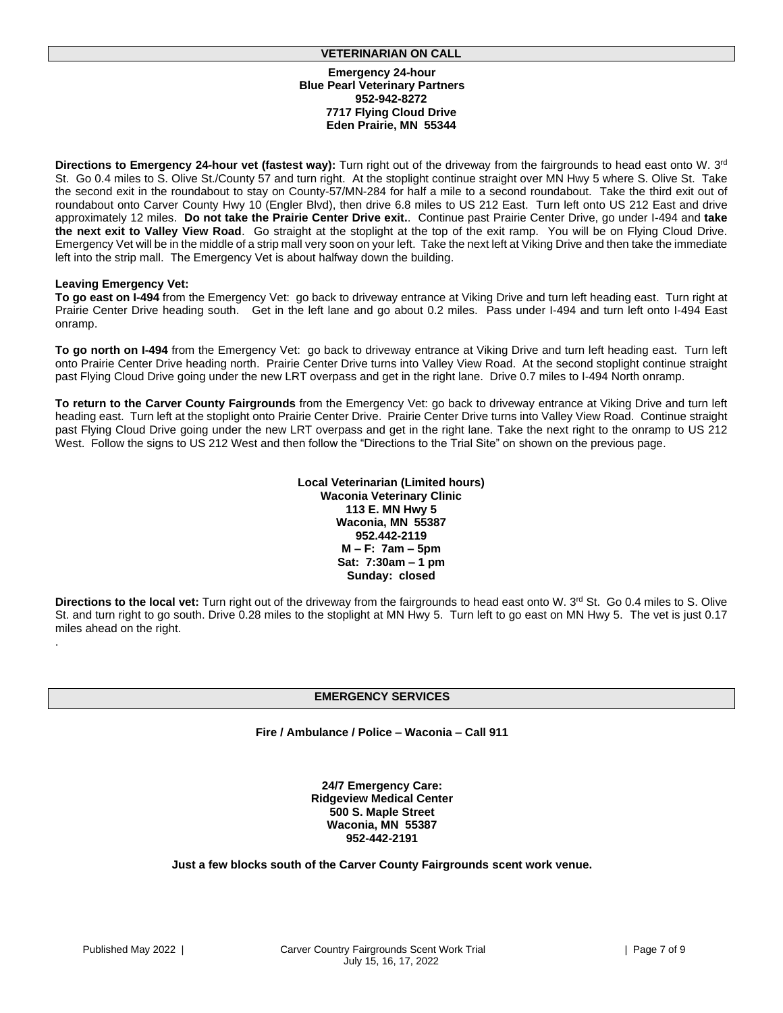#### **VETERINARIAN ON CALL**

#### **Emergency 24-hour Blue Pearl Veterinary Partners 952-942-8272 7717 Flying Cloud Drive Eden Prairie, MN 55344**

**Directions to Emergency 24-hour vet (fastest way):** Turn right out of the driveway from the fairgrounds to head east onto W. 3rd St. Go 0.4 miles to S. Olive St./County 57 and turn right. At the stoplight continue straight over MN Hwy 5 where S. Olive St. Take the second exit in the roundabout to stay on County-57/MN-284 for half a mile to a second roundabout. Take the third exit out of roundabout onto Carver County Hwy 10 (Engler Blvd), then drive 6.8 miles to US 212 East. Turn left onto US 212 East and drive approximately 12 miles. **Do not take the Prairie Center Drive exit.**. Continue past Prairie Center Drive, go under I-494 and **take the next exit to Valley View Road**. Go straight at the stoplight at the top of the exit ramp. You will be on Flying Cloud Drive. Emergency Vet will be in the middle of a strip mall very soon on your left. Take the next left at Viking Drive and then take the immediate left into the strip mall. The Emergency Vet is about halfway down the building.

#### **Leaving Emergency Vet:**

.

**To go east on I-494** from the Emergency Vet: go back to driveway entrance at Viking Drive and turn left heading east. Turn right at Prairie Center Drive heading south. Get in the left lane and go about 0.2 miles. Pass under I-494 and turn left onto I-494 East onramp.

**To go north on I-494** from the Emergency Vet: go back to driveway entrance at Viking Drive and turn left heading east. Turn left onto Prairie Center Drive heading north. Prairie Center Drive turns into Valley View Road. At the second stoplight continue straight past Flying Cloud Drive going under the new LRT overpass and get in the right lane. Drive 0.7 miles to I-494 North onramp.

**To return to the Carver County Fairgrounds** from the Emergency Vet: go back to driveway entrance at Viking Drive and turn left heading east. Turn left at the stoplight onto Prairie Center Drive. Prairie Center Drive turns into Valley View Road. Continue straight past Flying Cloud Drive going under the new LRT overpass and get in the right lane. Take the next right to the onramp to US 212 West. Follow the signs to US 212 West and then follow the "Directions to the Trial Site" on shown on the previous page.

> **Local Veterinarian (Limited hours) Waconia Veterinary Clinic 113 E. MN Hwy 5 Waconia, MN 55387 952.442-2119 M – F: 7am – 5pm Sat: 7:30am – 1 pm Sunday: closed**

**Directions to the local vet:** Turn right out of the driveway from the fairgrounds to head east onto W. 3rd St. Go 0.4 miles to S. Olive St. and turn right to go south. Drive 0.28 miles to the stoplight at MN Hwy 5. Turn left to go east on MN Hwy 5. The vet is just 0.17 miles ahead on the right.

## **EMERGENCY SERVICES**

**Fire / Ambulance / Police – Waconia – Call 911**

**24/7 Emergency Care: Ridgeview Medical Center 500 S. Maple Street Waconia, MN 55387 952-442-2191**

**Just a few blocks south of the Carver County Fairgrounds scent work venue.**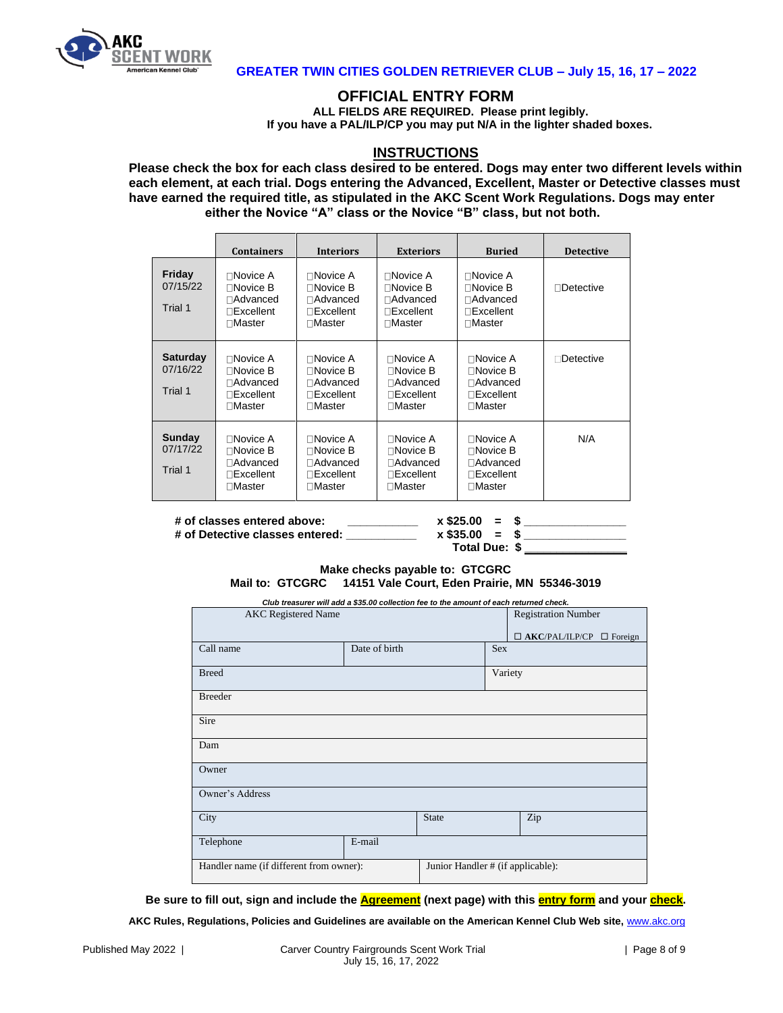

## **GREATER TWIN CITIES GOLDEN RETRIEVER CLUB – July 15, 16, 17 – 2022**

## **OFFICIAL ENTRY FORM**

**ALL FIELDS ARE REQUIRED. Please print legibly. If you have a PAL/ILP/CP you may put N/A in the lighter shaded boxes.**

## **INSTRUCTIONS**

**Please check the box for each class desired to be entered. Dogs may enter two different levels within each element, at each trial. Dogs entering the Advanced, Excellent, Master or Detective classes must have earned the required title, as stipulated in the AKC Scent Work Regulations. Dogs may enter either the Novice "A" class or the Novice "B" class, but not both.**

|                                        | <b>Containers</b>                                                                      | <b>Interiors</b>                                                                             | <b>Exteriors</b>                                                                           | <b>Buried</b>                                                                          | <b>Detective</b> |
|----------------------------------------|----------------------------------------------------------------------------------------|----------------------------------------------------------------------------------------------|--------------------------------------------------------------------------------------------|----------------------------------------------------------------------------------------|------------------|
| Friday<br>07/15/22<br>Trial 1          | $\Box$ Novice A<br>$\Box$ Novice B<br>□Advanced<br>$\sqcap$ Excellent<br>$\Box$ Master | $\Box$ Novice A<br>$\Box$ Novice B<br>$\Box$ Advanced<br>$\Box$ Excellent<br>$\Box$ Master   | ∏Novice A<br>$\sqcap$ Novice B<br>⊟Advanced<br>⊓Excellent<br>$\sqcap$ Master               | $\Box$ Novice A<br>$\Box$ Novice B<br>□Advanced<br>$\sqcap$ Excellent<br>$\Box$ Master | $\Box$ Detective |
| <b>Saturday</b><br>07/16/22<br>Trial 1 | $\Box$ Novice A<br>$\Box$ Novice B<br>□Advanced<br>$\Box$ Excellent<br>$\Box$ Master   | $\Box$ Novice A<br>$\Box$ Novice B<br>$\Box$ Advanced<br>$\Box$ Excellent<br>$\Box$ Master   | $\Box$ Novice A<br>$\Box$ Novice B<br>$\Box$ Advanced<br>$\Box$ Excellent<br>$\Box$ Master | ⊟Novice A<br>$\Box$ Novice B<br>⊟Advanced<br>$\sqcap$ Excellent<br>$\Box$ Master       | Detective        |
| Sunday<br>07/17/22<br>Trial 1          | $\Box$ Novice A<br>$\Box$ Novice B<br>□Advanced<br>$\Box$ Excellent<br>$\Box$ Master   | $\Box$ Novice A<br>$\Box$ Novice B<br>$\Box$ Advanced<br>$\sqcap$ Excellent<br>$\Box$ Master | $\Box$ Novice A<br>$\Box$ Novice B<br>□Advanced<br>$\Box$ Excellent<br>$\Box$ Master       | ∩Novice A<br>$\sqcap$ Novice B<br>□Advanced<br>$\sqcap$ Excellent<br>$\sqcap$ Master   | N/A              |

**# of classes entered above: \_\_\_\_\_\_\_\_\_\_\_ x \$25.00 = \$ \_\_\_\_\_\_\_\_\_\_\_\_\_\_\_\_ # of Detective classes entered: \_\_\_\_\_\_\_\_\_\_\_ x \$35.00 = \$ \_\_\_\_\_\_\_\_\_\_\_\_\_\_\_\_**

 **Total Due: \$ \_\_\_\_\_\_\_\_\_\_\_\_\_\_\_\_**

## **Make checks payable to: GTCGRC Mail to: GTCGRC 14151 Vale Court, Eden Prairie, MN 55346-3019**

*Club treasurer will add a \$35.00 collection fee to the amount of each returned check.*

| Club treasurer will aud a \$30.00 collection fee to the amount of each returned check. |               |                                   |            | <b>Registration Number</b>           |
|----------------------------------------------------------------------------------------|---------------|-----------------------------------|------------|--------------------------------------|
| <b>AKC</b> Registered Name                                                             |               |                                   |            |                                      |
|                                                                                        |               |                                   |            |                                      |
|                                                                                        |               |                                   |            | $\Box$ AKC/PAL/ILP/CP $\Box$ Foreign |
| Call name                                                                              | Date of birth |                                   | <b>Sex</b> |                                      |
|                                                                                        |               |                                   |            |                                      |
| <b>Breed</b>                                                                           |               |                                   | Variety    |                                      |
|                                                                                        |               |                                   |            |                                      |
| <b>Breeder</b>                                                                         |               |                                   |            |                                      |
|                                                                                        |               |                                   |            |                                      |
| Sire                                                                                   |               |                                   |            |                                      |
|                                                                                        |               |                                   |            |                                      |
| Dam                                                                                    |               |                                   |            |                                      |
|                                                                                        |               |                                   |            |                                      |
| Owner                                                                                  |               |                                   |            |                                      |
|                                                                                        |               |                                   |            |                                      |
| Owner's Address                                                                        |               |                                   |            |                                      |
|                                                                                        |               |                                   |            |                                      |
| City                                                                                   |               | <b>State</b>                      |            | Zip                                  |
|                                                                                        |               |                                   |            |                                      |
| Telephone                                                                              | E-mail        |                                   |            |                                      |
|                                                                                        |               |                                   |            |                                      |
| Handler name (if different from owner):                                                |               | Junior Handler # (if applicable): |            |                                      |
|                                                                                        |               |                                   |            |                                      |
|                                                                                        |               |                                   |            |                                      |

**Be sure to fill out, sign and include the Agreement (next page) with this entry form and your check.**

**AKC Rules, Regulations, Policies and Guidelines are available on the American Kennel Club Web site,** [www.akc.org](http://www.akc.org/)